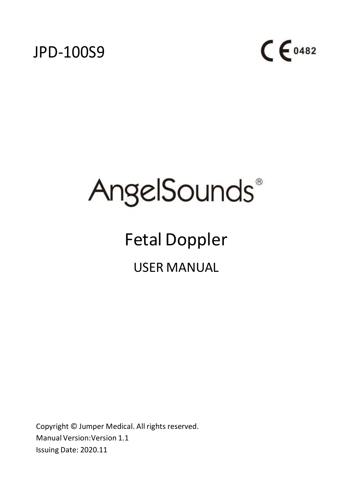



# **AngelSounds**®

# Fetal Doppler USER MANUAL

Copyright © Jumper Medical. All rights reserved. Manual Version:Version 1.1 Issuing Date: 2020.11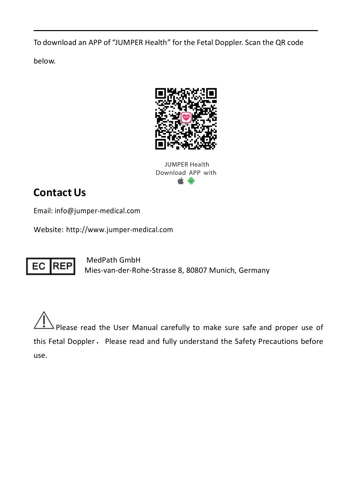To download an APP of "JUMPER Health" forthe Fetal Doppler. Scan the QR code

below.



JUMPER Health Download APP with é.

# **Contact Us**

Email: [info@jumper-medical.com](mailto:angelsounds.info@jumper-medical.com)

Website: [http://www.jumper-medical.com](http://www.jumper-medical.com/)



MedPath GmbH Mies-van-der-Rohe-Strasse 8, 80807 Munich, Germany

Please read the User Manual carefully to make sure safe and proper use of this Fetal Doppler, Please read and fully understand the Safety Precautions before use.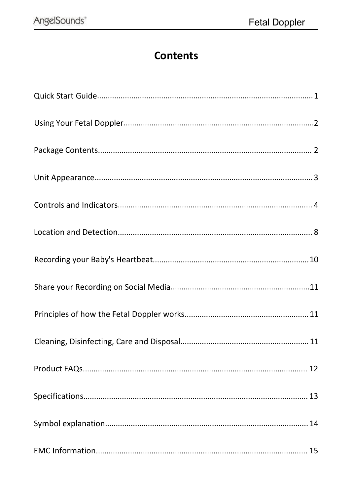# **Contents**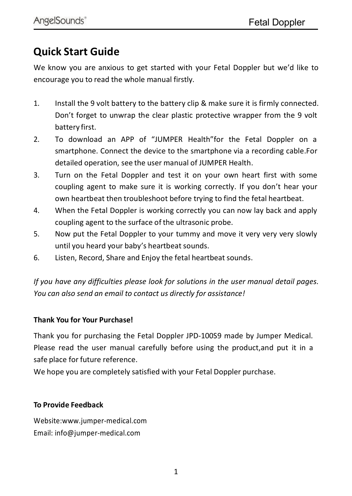# <span id="page-4-0"></span>**Quick Start Guide**

We know you are anxious to get started with your Fetal Doppler but we'd like to encourage you to read the whole manual firstly.

- 1. Install the 9 volt battery to the battery clip & make sure it is firmly connected. Don't forget to unwrap the clear plastic protective wrapper from the 9 volt battery first.
- 2. To download an APP of "JUMPER Health"for the Fetal Doppler on a smartphone. Connect the device to the smartphone via a recording cable.For detailed operation, see the user manual of JUMPER Health.
- 3. Turn on the Fetal Doppler and test it on your own heart first with some coupling agent to make sure it is working correctly. If you don't hear your own heartbeat then troubleshoot before trying to find the fetal heartbeat.
- 4. When the Fetal Doppler is working correctly you can now lay back and apply coupling agent to the surface of the ultrasonic probe.
- 5. Now put the Fetal Doppler to your tummy and move it very very very slowly until you heard your baby's heartbeat sounds.
- 6. Listen, Record, Share and Enjoy the fetal heartbeat sounds.

*If you have any difficulties please look for solutions in the user manual detail pages. You can also send an email to contact us directly for assistance!*

#### **Thank You for Your Purchase!**

Thank you for purchasing the Fetal Doppler JPD-100S9 made by Jumper Medical. Please read the user manual carefully before using the product,and put it in a safe place for future reference.

We hope you are completely satisfied with your Fetal Doppler purchase.

#### **To Provide Feedback**

Website[:www.jumper-medical.com](http://www.jumper-medical.com/) Email: [info@jumper-medical.com](mailto:angelsounds.info@jumper-medical.com)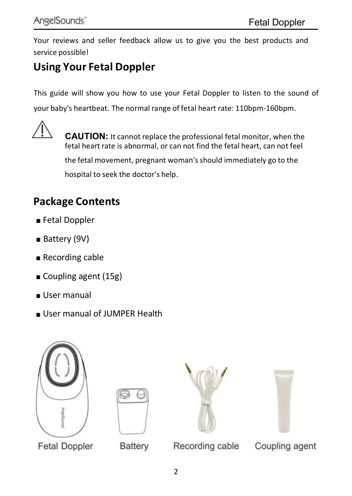Your reviews and seller feedback allow us to give you the best products and service possible!

# <span id="page-5-0"></span>**Using Your Fetal Doppler**

This guide will show you how to use your Fetal Doppler to listen to the sound of

your baby's heartbeat. The normal range of fetal heart rate: 110bpm-160bpm.



**CAUTION:** It cannot replace the professional fetal monitor, when the fetal heart rate is abnormal, or can not find the fetal heart, can not feel

the fetal movement, pregnant woman's should immediately go to the hospital to seek the doctor's help.

# <span id="page-5-1"></span>**Package Contents**

- **■** Fetal Doppler
- Battery (9V)
- Recording cable
- Coupling agent (15g)
- User manual
- User manual of JUMPER Health









**Fetal Doppler** 

**Battery** 

Recording cable

Coupling agent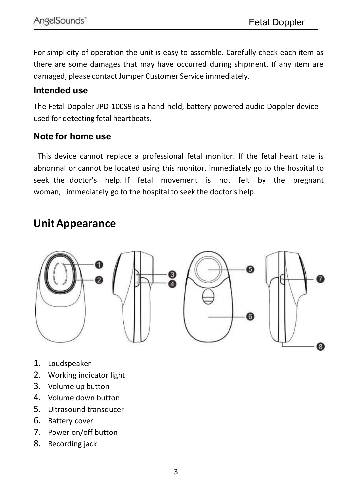For simplicity of operation the unit is easy to assemble. Carefully check each item as there are some damages that may have occurred during shipment. If any item are damaged, please contact Jumper Customer Service immediately.

#### **Intended use**

The Fetal Doppler JPD-100S9 is a hand-held, battery powered audio Doppler device used for detecting fetal heartbeats.

#### **Note for home use**

This device cannot replace a professional fetal monitor. If the fetal heart rate is abnormal or cannot be located using this monitor, immediately go to the hospital to seek the doctor's help. If fetal movement is not felt by the pregnant woman, immediately go to the hospital to seek the doctor's help.

#### <span id="page-6-0"></span>**Unit Appearance**



- 1. Loudspeaker
- 2. Working indicator light
- 3. Volume up button
- 4. Volume down button
- 5. Ultrasound transducer
- 6. Battery cover
- 7. Power on/off button
- 8. Recording jack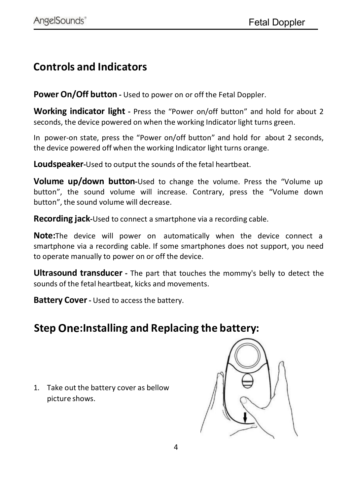#### <span id="page-7-0"></span>**Controls and Indicators**

**Power On/Off button -** Used to power on or off the Fetal Doppler.

**Working indicator light -** Press the "Power on/off button" and hold for about 2 seconds, the device powered on when the working Indicator light turns green.

In power-on state, press the "Power on/off button" and hold for about 2 seconds, the device powered off when the working Indicator light turns orange.

**Loudspeaker-**Used to output the sounds of the fetal heartbeat.

**Volume up/down button-**Used to change the volume. Press the "Volume up button", the sound volume will increase. Contrary, press the "Volume down button", the sound volume will decrease.

**Recording jack-**Used to connect a smartphone via a recording cable.

**Note:**The device will power on automatically when the device connect a smartphone via a recording cable. If some smartphones does not support, you need to operate manually to power on or off the device.

**Ultrasound transducer -** The part that touches the mommy's belly to detect the sounds of the fetal heartbeat, kicks and movements.

**Battery Cover-** Used to access the battery.

## **Step One:Installing and Replacing the battery:**

1. Take out the battery cover as bellow picture shows.

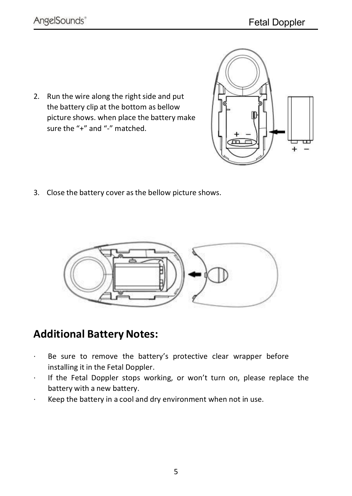2. Run the wire along the right side and put the battery clip at the bottom as bellow picture shows. when place the battery make sure the "+" and "-" matched.

3. Close the battery cover as the bellow picture shows.



# **Additional Battery Notes:**

- · Be sure to remove the battery's protective clear wrapper before installing it in the Fetal Doppler.
- · If the Fetal Doppler stops working, or won't turn on, please replace the battery with a new battery.
- Keep the battery in a cool and dry environment when not in use.

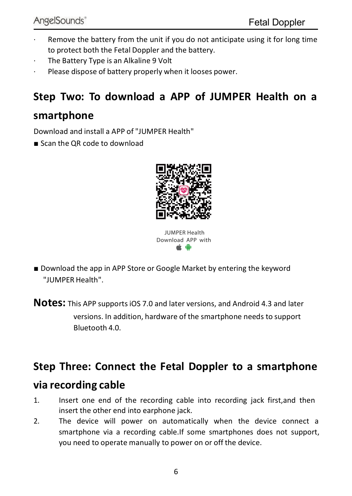- · Remove the battery from the unit if you do not anticipate using it for long time to protect both the Fetal Doppler and the battery.
- The Battery Type is an Alkaline 9 Volt
- Please dispose of battery properly when it looses power.

## **Step Two: To download a APP ofJUMPER Health on a**

#### **smartphone**

Download and install a APP of "JUMPER Health"

**■** Scan the QR code to download



JUMPER Health Download APP with

■ Download the app in APP Store or Google Market by entering the keyword "JUMPER Health".

**Notes:** This APP supports iOS 7.0 and later versions, and Android 4.3 and later

versions. In addition, hardware of the smartphone needs to support Bluetooth 4.0.

#### **Step Three: Connect the Fetal Doppler to asmartphone**

#### **via recording cable**

- 1. Insert one end of the recording cable into recording jack first,and then insert the other end into earphone jack.
- 2. The device will power on automatically when the device connect a smartphone via a recording cable.If some smartphones does not support, you need to operate manually to power on or off the device.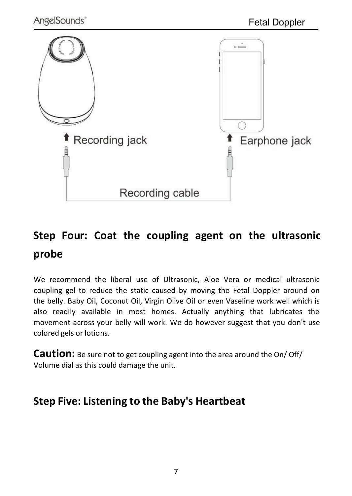

# **Step Four: Coat the coupling agent on the ultrasonic probe**

We recommend the liberal use of Ultrasonic, Aloe Vera or medical ultrasonic coupling gel to reduce the static caused bymoving the Fetal Doppler around on the belly. Baby Oil, Coconut Oil, Virgin Olive Oil or even Vaseline work well which is also readily available in most homes. Actually anything that lubricates the movement across your belly will work. We do however suggest that you don't use colored gels or lotions.

**Caution:** Be sure not to get coupling agent into the area around the On/ Off/ Volume dial as this could damage the unit.

## **Step Five: Listening to the Baby's Heartbeat**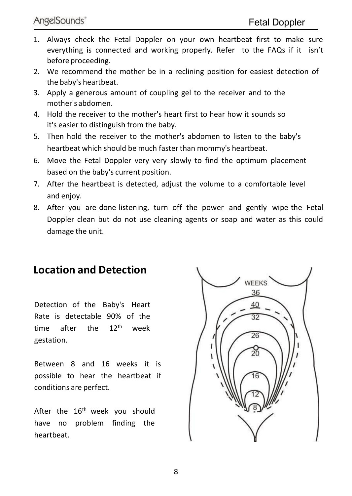- 1. Always check the Fetal Doppler on your own heartbeat first to make sure everything is connected and working properly. Refer to the FAQs if it isn't before proceeding.
- 2. We recommend the mother be in a reclining position for easiest detection of the baby's heartbeat.
- 3. Apply a generous amount of coupling gel to the receiver and to the mother's abdomen.
- 4. Hold the receiver to the mother's heart first to hear how it sounds so it's easier to distinguish from the baby.
- 5. Then hold the receiver to the mother's abdomen to listen to the baby's heartbeat which should be much faster than mommy's heartbeat.
- 6. Move the Fetal Doppler very very slowly to find the optimum placement based on the baby's current position.
- 7. After the heartbeat is detected, adjust the volume to acomfortable level and enjoy.
- 8. After you are done listening, turn off the power and gently wipe the Fetal Doppler clean but do not use cleaning agents or soap and water as this could damage the unit.

#### <span id="page-11-0"></span>**Location and Detection**

Detection of the Baby's Heart Rate is detectable 90% of the time after the 12<sup>th</sup> week gestation.

Between 8 and 16 weeks it is possible to hear the heartbeat if conditions are perfect.

After the  $16^{\text{th}}$  week you should  $\qquad \qquad \Box$ have no problem finding the heartbeat.

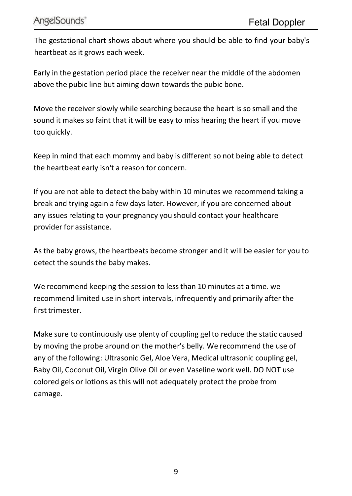The gestational chart shows about where you should be able to find your baby's heartbeat as it grows each week.

Early in the gestation period place the receiver near the middle of the abdomen above the pubic line but aiming down towards the pubic bone.

Move the receiver slowly while searching because the heart is so small and the sound it makes so faint that it will be easy to miss hearing the heart if you move too quickly.

Keep in mind that each mommy and baby is different so not being able to detect the heartbeat early isn't a reason for concern.

If you are not able to detect the baby within 10 minutes we recommend taking a break and trying again a few days later. However, if you are concerned about any issues relating to your pregnancy you should contact your healthcare provider for assistance.

As the baby grows, the heartbeats become stronger and it will be easier for you to detect the sounds the baby makes.

We recommend keeping the session to less than 10 minutes at a time. we recommend limited use in short intervals, infrequently and primarily after the first trimester

Make sure to continuously use plenty of coupling gel to reduce the static caused by moving the probe around on the mother's belly. We recommend the use of any of the following: Ultrasonic Gel, Aloe Vera, Medical ultrasonic coupling gel, Baby Oil, Coconut Oil, Virgin Olive Oil or even Vaseline work well. DO NOT use colored gels or lotions as this will not adequately protect the probe from damage.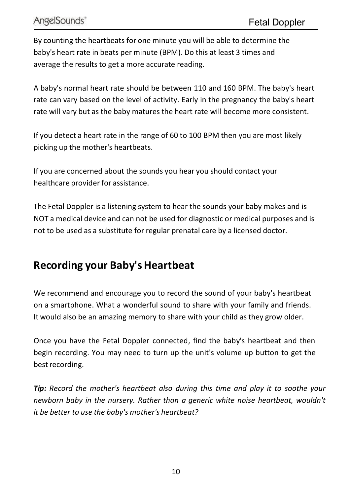By counting the heartbeats for one minute you will be able to determine the baby's heart rate in beats per minute (BPM). Do this at least 3 times and average the results to get a more accurate reading.

A baby's normal heart rate should be between 110 and 160 BPM. The baby's heart rate can vary based on the level of activity. Early in the pregnancy the baby's heart rate will vary but as the baby matures the heart rate will become more consistent.

If you detect a heart rate in the range of 60 to 100 BPM then you are most likely picking up the mother's heartbeats.

If you are concerned about the sounds you hear you should contact your healthcare provider for assistance.

The Fetal Doppler is a listening system to hear the sounds your baby makes and is NOT a medical device and can not be used for diagnostic or medical purposes and is not to be used as a substitute for regular prenatal care by a licensed doctor.

## <span id="page-13-0"></span>**Recording your Baby's Heartbeat**

We recommend and encourage you to record the sound of your baby's heartbeat on a smartphone. What a wonderful sound to share with your family and friends. It would also be an amazing memory to share with your child as they grow older.

Once you have the Fetal Doppler connected, find the baby's heartbeat and then begin recording. You may need to turn up the unit's volume up button to get the best recording.

*Tip: Record the mother's heartbeat also during this time and play it to soothe your newborn baby in the nursery. Rather than a generic white noise heartbeat, wouldn't*  $i$ t *be better* to use the *baby's* mother's *heartbeat?*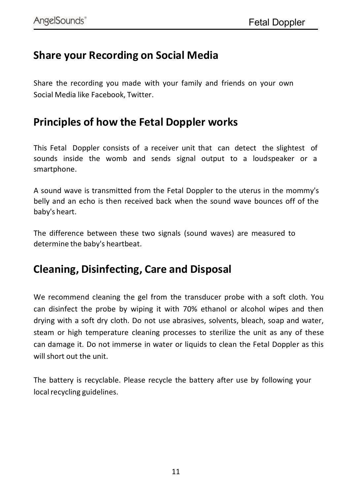#### <span id="page-14-0"></span>**Share your Recording on Social Media**

Share the recording you made with your family and friends on your own Social Media like Facebook, Twitter.

#### <span id="page-14-1"></span>**Principles of how the Fetal Dopplerworks**

This Fetal Doppler consists of a receiver unit that can detect the slightest of sounds inside the womb and sends signal output to a loudspeaker or a smartphone.

A sound wave is transmitted from the Fetal Doppler to the uterus in the mommy's belly and an echo is then received back when the sound wave bounces off of the

baby's heart.<br>The difference between these two signals (sound waves) are measured to determine the baby's heartbeat.

#### <span id="page-14-2"></span>**Cleaning, Disinfecting, Care and Disposal**

We recommend cleaning the gel from the transducer probe with a soft cloth. You can disinfect the probe by wiping it with 70% ethanol or alcohol wipes and then drying with asoft dry cloth. Do not use abrasives, solvents, bleach, soap and water, steam or high temperature cleaning processes to sterilize the unit as any of these can damage it. Do not immerse in water or liquids to clean the Fetal Doppler as this will short out the unit.

The battery is recyclable. Please recycle the battery after use by following your local recycling guidelines.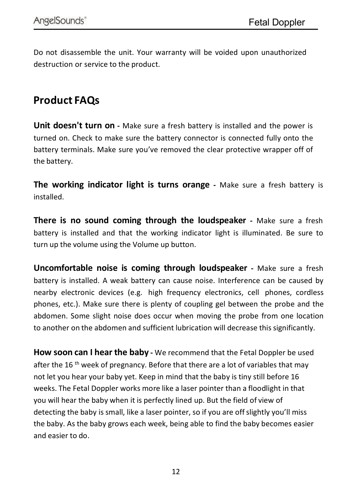Do not disassemble the unit. Your warranty will be voided upon unauthorized destruction or service to the product.

## <span id="page-15-0"></span>**Product FAQs**

**Unit doesn't turn on -** Make sure a fresh battery is installed and the power is turned on. Check to make sure the battery connector is connected fully onto the battery terminals. Make sure you've removed the clear protective wrapper off of the battery.

**The working indicator light is turns orange -** Make sure a fresh battery is installed.

**There is no sound coming through the loudspeaker -** Make sure a fresh battery is installed and that the working indicator light is illuminated. Be sure to turn up the volume using the Volume up button.

**Uncomfortable noise is coming through loudspeaker -** Make sure a fresh battery is installed. A weak battery can cause noise. Interference can be caused by<br>nearby electronic devices (e.g. high frequency electronics, cell phones, cordless phones, etc.). Make sure there is plenty of coupling gel between the probe and the abdomen. Some slight noise does occur when moving the probe from one location to another on the abdomen and sufficient lubrication will decrease this significantly.

**How soon can I hear the baby -** We recommend that the Fetal Doppler be used after the 16 <sup>th</sup> week of pregnancy. Before that there are a lot of variables that may not let you hear your baby yet. Keep in mind that the baby is tiny still before 16 weeks. The Fetal Doppler works more like a laser pointer than a floodlight in that you will hear the baby when it is perfectly lined up. But the field of view of detecting the baby is small, like a laser pointer, so if you are off slightly you'll miss the baby. As the baby grows each week, being able to find the baby becomes easier and easier to do.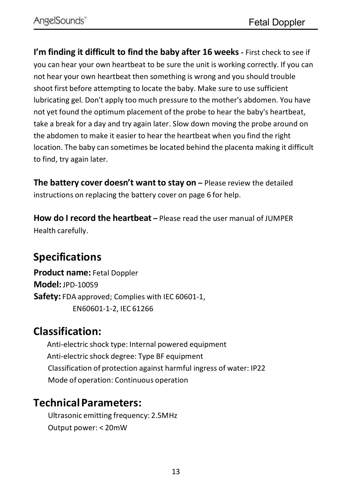**I'm finding it difficult to find the baby after 16 weeks -** First check to see if you can hear your own heartbeat to be sure the unit is working correctly. If you can not hear your own heartbeat then something is wrong and you should trouble shoot first before attempting to locate the baby. Make sure to use sufficient lubricating gel. Don't apply too much pressure to the mother's abdomen. You have not yet found the optimum placement of the probe to hear the baby's heartbeat, take a break for a day and try again later. Slow down moving the probe around on the abdomen to make it easier to hear the heartbeat when you find the right location. The baby can sometimes be located behind the placenta making it difficult to find, try again later.

**The battery cover doesn't want to stay on –** Please review the detailed instructions on replacing the battery cover on page 6 for help.

**How do I record the heartbeat –** Please read the user manual of JUMPER Health carefully.

## <span id="page-16-0"></span>**Specifications**

**Product name:** Fetal Doppler **Model:** JPD-100S9 **Safety:** FDA approved; Complies with IEC 60601-1, EN60601-1-2, IEC 61266

#### **Classification:**

Anti-electric shock type: Internal powered equipment Anti-electric shock degree: Type BF equipment Classification of protection against harmful ingress of water: IP22 Mode of operation: Continuous operation

#### **TechnicalParameters:**

Ultrasonic emitting frequency: 2.5MHz Output power: < 20mW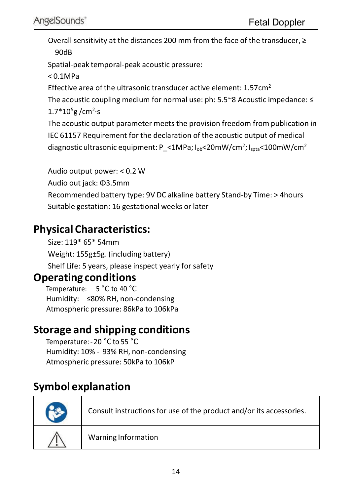Overall sensitivity at the distances 200 mm from the face of the transducer, ≥ 90dB

Spatial-peak temporal-peak acoustic pressure:

< 0.1MPa

Effective area of the ultrasonic transducer active element: 1.57cm<sup>2</sup>

The acoustic coupling medium for normal use: ph: 5.5~8 Acoustic impedance: ≤  $1.7*10^{5}$ g /cm<sup>2</sup>·s ·s

The acoustic output parameter meets the provision freedom from publication in IEC 61157 Requirement for the declaration of the acoustic output of medical diagnostic ultrasonic equipment: P\_<1MPa; I<sub>ob</sub><20mW/cm<sup>2</sup>; I<sub>spta</sub><100mW/cm<sup>2</sup>

Audio output power: < 0.2 W Audio out jack: Φ3.5mm Recommended battery type: 9V DC alkaline battery Stand-by Time: > 4hours Suitable gestation: 16 gestational weeks or later

## **Physical Characteristics:**

Size: 119\* 65\* 54mm Weight: 155g±5g. (including battery) Shelf Life: 5 years, please inspect yearly for safety

#### **Operating conditions**

Temperature: 5 °C to 40 °C Humidity: ≤80% RH, non-condensing Atmospheric pressure: 86kPa to 106kPa

## **Storage and shipping conditions**

Temperature:-20 °C to 55 °C Humidity: 10% - 93% RH, non-condensing Atmospheric pressure: 50kPa to 106kP

# <span id="page-17-0"></span>**Symbol explanation**

| Consult instructions for use of the product and/or its accessories. |  |
|---------------------------------------------------------------------|--|
| Warning Information                                                 |  |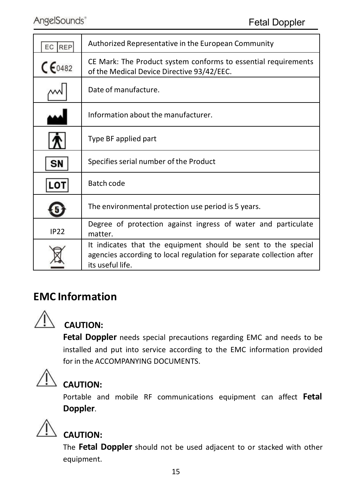| EC REP      | Authorized Representative in the European Community                                                                                                       |
|-------------|-----------------------------------------------------------------------------------------------------------------------------------------------------------|
| $CE_{0482}$ | CE Mark: The Product system conforms to essential requirements<br>of the Medical Device Directive 93/42/EEC.                                              |
|             | Date of manufacture.                                                                                                                                      |
|             | Information about the manufacturer.                                                                                                                       |
|             | Type BF applied part                                                                                                                                      |
| <b>SN</b>   | Specifies serial number of the Product                                                                                                                    |
| LOT         | Batch code                                                                                                                                                |
|             | The environmental protection use period is 5 years.                                                                                                       |
| <b>IP22</b> | Degree of protection against ingress of water and particulate<br>matter.                                                                                  |
|             | It indicates that the equipment should be sent to the special<br>agencies according to local regulation for separate collection after<br>its useful life. |
|             |                                                                                                                                                           |

## <span id="page-18-0"></span>**EMC Information**



#### **CAUTION:**

**Fetal Doppler** needs special precautions regarding EMC and needs to be installed and put into service according to the EMC information provided for in the ACCOMPANYING DOCUMENTS.



## **CAUTION:**

Portable and mobile RF communications equipment can affect **Fetal Doppler**.



#### **CAUTION:**

The **Fetal Doppler** should not be used adjacent to or stacked with other equipment.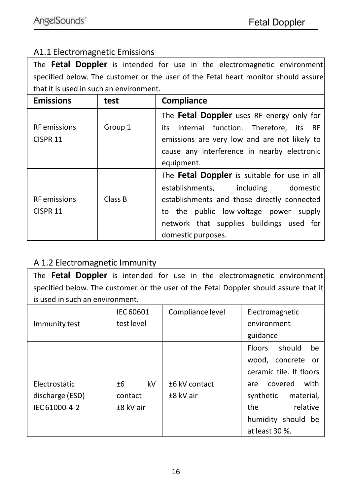#### A1.1 Electromagnetic Emissions

The **Fetal Doppler** is intended for use in the electromagnetic environment specified below. The customer or the user of the Fetal heart monitor should assure that it is used in such an environment.

| <b>Emissions</b>    | test    | Compliance                                   |  |  |
|---------------------|---------|----------------------------------------------|--|--|
|                     |         | The Fetal Doppler uses RF energy only for    |  |  |
| <b>RF</b> emissions | Group 1 | its internal function. Therefore, its RF     |  |  |
| CISPR <sub>11</sub> |         | emissions are very low and are not likely to |  |  |
|                     |         | cause any interference in nearby electronic  |  |  |
|                     |         | equipment.                                   |  |  |
|                     |         | The Fetal Doppler is suitable for use in all |  |  |
|                     |         | establishments.<br>including<br>domestic     |  |  |
| <b>RF</b> emissions | Class B | establishments and those directly connected  |  |  |
| CISPR <sub>11</sub> |         | to the public low-voltage power supply       |  |  |
|                     |         | network that supplies buildings used for     |  |  |
|                     |         | domestic purposes.                           |  |  |

#### A 1.2 Electromagnetic Immunity

The **Fetal Doppler** is intended for use in the electromagnetic environment specified below. The customer or the user of the Fetal Doppler should assure that it is used in such an environment.

| Immunity test                                     | IEC 60601<br>test level            | Compliance level               | Electromagnetic<br>environment<br>guidance                                                                                                                                            |  |
|---------------------------------------------------|------------------------------------|--------------------------------|---------------------------------------------------------------------------------------------------------------------------------------------------------------------------------------|--|
| Electrostatic<br>discharge (ESD)<br>IEC 61000-4-2 | kV<br>±6<br>contact<br>$±8$ kV air | $±6$ kV contact<br>$±8$ kV air | should<br>be<br>Floors<br>wood, concrete or<br>ceramic tile. If floors<br>with<br>covered<br>are<br>synthetic<br>material,<br>relative<br>the<br>humidity should be<br>at least 30 %. |  |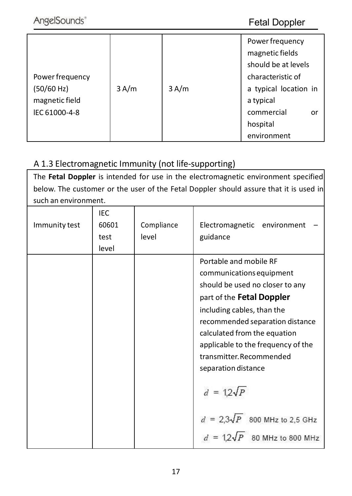#### Fetal Doppler

|                 |      |      | Power frequency       |  |
|-----------------|------|------|-----------------------|--|
|                 |      |      | magnetic fields       |  |
|                 |      |      | should be at levels   |  |
| Power frequency |      |      | characteristic of     |  |
| (50/60 Hz)      | 3A/m | 3A/m | a typical location in |  |
| magnetic field  |      |      | a typical             |  |
| IEC 61000-4-8   |      |      | commercial<br>or      |  |
|                 |      |      | hospital              |  |
|                 |      |      | environment           |  |

#### A 1.3 Electromagnetic Immunity (not life-supporting)

The **Fetal Doppler** is intended for use in the electromagnetic environment specified below. The customer or the user of the Fetal Doppler should assure that it is used in such an environment.

| Immunity test | IEC<br>60601<br>test<br>level | Compliance<br>level | Electromagnetic environment<br>guidance                                                                                                                                                                                                                                                                                                                                                      |
|---------------|-------------------------------|---------------------|----------------------------------------------------------------------------------------------------------------------------------------------------------------------------------------------------------------------------------------------------------------------------------------------------------------------------------------------------------------------------------------------|
|               |                               |                     | Portable and mobile RF<br>communications equipment<br>should be used no closer to any<br>part of the Fetal Doppler<br>including cables, than the<br>recommended separation distance<br>calculated from the equation<br>applicable to the frequency of the<br>transmitter.Recommended<br>separation distance<br>$d = 12\sqrt{P}$<br>$d = 2.3\sqrt{P}$ 800 MHz to 2.5 GHz<br>80 MHz to 800 MHz |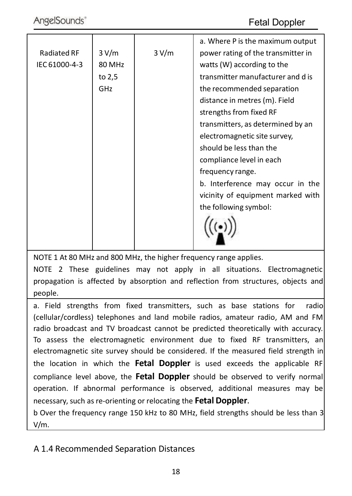|                    |        |       | a. Where P is the maximum output   |
|--------------------|--------|-------|------------------------------------|
| <b>Radiated RF</b> | 3 V/m  | 3 V/m | power rating of the transmitter in |
| IEC 61000-4-3      | 80 MHz |       | watts (W) according to the         |
|                    | to 2,5 |       | transmitter manufacturer and d is  |
|                    | GHz    |       | the recommended separation         |
|                    |        |       | distance in metres (m). Field      |
|                    |        |       | strengths from fixed RF            |
|                    |        |       | transmitters, as determined by an  |
|                    |        |       | electromagnetic site survey,       |
|                    |        |       | should be less than the            |
|                    |        |       | compliance level in each           |
|                    |        |       | frequency range.                   |
|                    |        |       | b. Interference may occur in the   |
|                    |        |       | vicinity of equipment marked with  |
|                    |        |       | the following symbol:              |
|                    |        |       |                                    |
|                    |        |       |                                    |
|                    |        |       |                                    |
|                    |        |       |                                    |

NOTE 1 At 80 MHz and 800 MHz, the higher frequency range applies.

NOTE 2 These guidelines may not apply in all situations. Electromagnetic propagation is affected by absorption and reflection from structures, objects and people.

a. Field strengths from fixed transmitters, such as base stations for radio (cellular/cordless) telephones and land mobile radios, amateur radio, AM and FM radio broadcast and TV broadcast cannot be predicted theoretically with accuracy. To assess the electromagnetic environment due to fixed RF transmitters, an electromagnetic site survey should be considered. If the measured field strength in the location in which the **Fetal Doppler** is used exceeds the applicable RF compliance level above, the **Fetal Doppler** should be observed to verify normal operation. If abnormal performance is observed, additional measures may be necessary, such as re-orienting or relocating the **Fetal Doppler**.

b Over the frequency range 150 kHz to 80 MHz, field strengths should be less than 3 V/m.

#### A 1.4 Recommended Separation Distances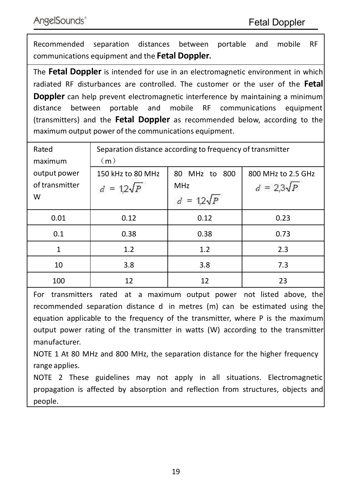Recommended separation distances between portable and mobile RF communications equipment and the **Fetal Doppler.**

The **Fetal Doppler** is intended for use in an electromagnetic environment in which radiated RF disturbances are controlled. The customer or the user of the **Fetal Doppler** can help prevent electromagnetic interference by maintaining a minimum distance between portable and mobile RF communications equipment (transmitters) and the **Fetal Doppler** as recommended below, according to the maximum output power of the communications equipment.

| Rated          | Separation distance according to frequency of transmitter |                                  |                    |  |  |
|----------------|-----------------------------------------------------------|----------------------------------|--------------------|--|--|
| maximum        | (m)                                                       |                                  |                    |  |  |
| output power   | 150 kHz to 80 MHz                                         | 80 MHz to 800                    | 800 MHz to 2.5 GHz |  |  |
| of transmitter | $= 12\sqrt{p}$                                            | $d = 2.3\sqrt{P}$<br><b>MHz</b>  |                    |  |  |
| W              |                                                           | $= 12\sqrt{p}$<br>$\overline{d}$ |                    |  |  |
| 0.01           | 0.12                                                      | 0.12                             | 0.23               |  |  |
| 0.1            | 0.38                                                      | 0.38                             | 0.73               |  |  |
| 1              | 1.2                                                       | 1.2                              | 2.3                |  |  |
| 10             | 3.8                                                       | 3.8                              | 7.3                |  |  |
| 100            | 12                                                        | 12                               | 23                 |  |  |

For transmitters rated at a maximum output power not listed above, the recommended separation distance d in metres (m) can be estimated using the equation applicable to the frequency of the transmitter, where P is the maximum output power rating of the transmitter in watts (W) according to the transmitter manufacturer.

NOTE 1 At 80 MHz and 800 MHz, the separation distance for the higher frequency range applies.

NOTE 2 These guidelines may not apply in all situations. Electromagnetic propagation is affected by absorption and reflection from structures, objects and people.